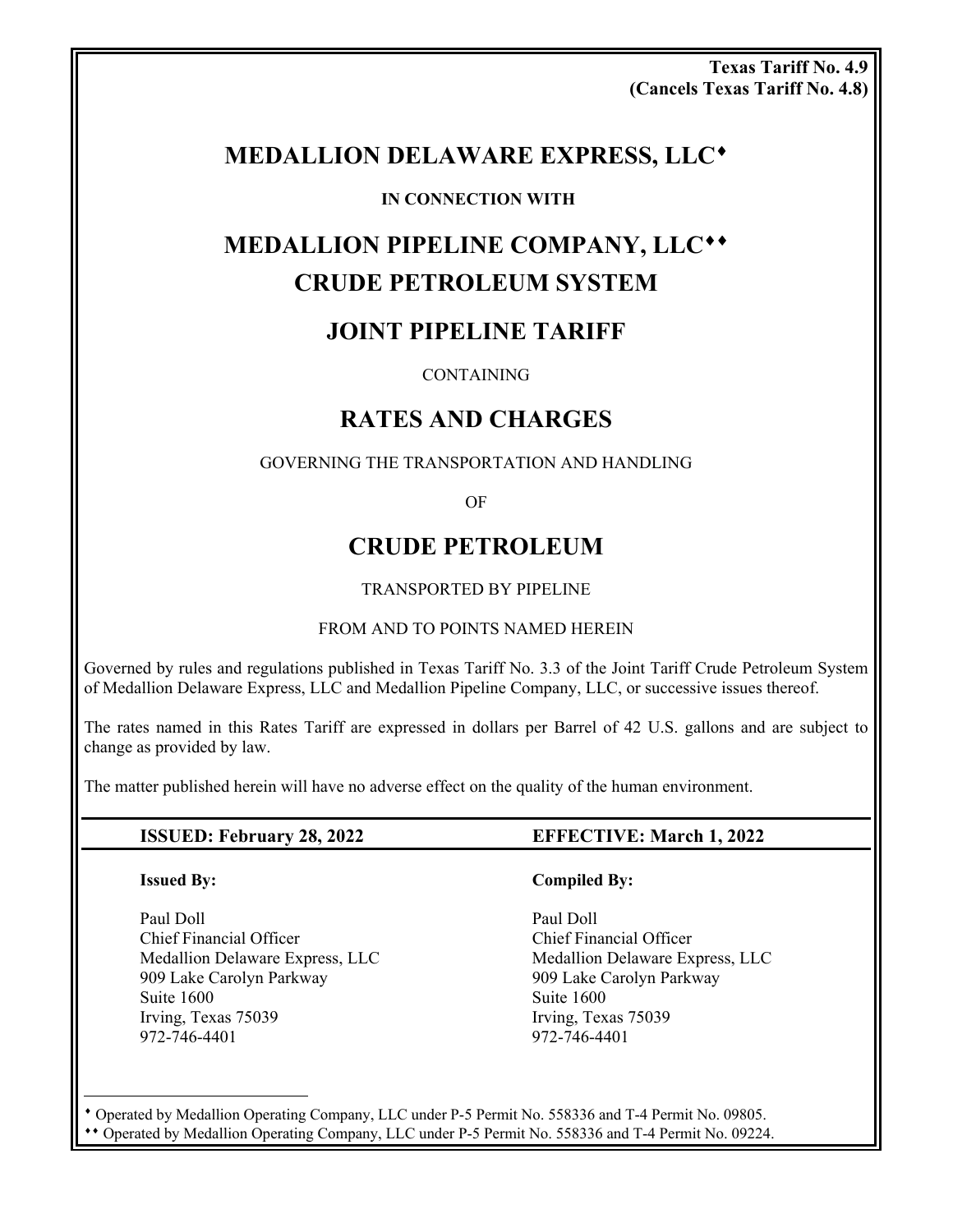**Texas Tariff No. 4.9 (Cancels Texas Tariff No. 4.8)**

## **MEDALLION DELAWARE EXPRESS, LLC**

### **IN CONNECTION WITH**

# **MEDALLION PIPELINE COMPANY, LLC CRUDE PETROLEUM SYSTEM**

## **JOINT PIPELINE TARIFF**

**CONTAINING** 

## **RATES AND CHARGES**

GOVERNING THE TRANSPORTATION AND HANDLING

OF

## **CRUDE PETROLEUM**

TRANSPORTED BY PIPELINE

### FROM AND TO POINTS NAMED HEREIN

Governed by rules and regulations published in Texas Tariff No. 3.3 of the Joint Tariff Crude Petroleum System of Medallion Delaware Express, LLC and Medallion Pipeline Company, LLC, or successive issues thereof.

The rates named in this Rates Tariff are expressed in dollars per Barrel of 42 U.S. gallons and are subject to change as provided by law.

The matter published herein will have no adverse effect on the quality of the human environment.

### **ISSUED: February 28, 2022 EFFECTIVE: March 1, 2022**

 $\overline{a}$ 

Paul Doll Paul Doll Chief Financial Officer Chief Financial Officer Medallion Delaware Express, LLC Medallion Delaware Express, LLC 909 Lake Carolyn Parkway 909 Lake Carolyn Parkway Suite 1600 Suite 1600 Irving, Texas 75039 Irving, Texas 75039 972-746-4401 972-746-4401

### **Issued By:** Compiled By:

 Operated by Medallion Operating Company, LLC under P-5 Permit No. 558336 and T-4 Permit No. 09805. Operated by Medallion Operating Company, LLC under P-5 Permit No. 558336 and T-4 Permit No. 09224.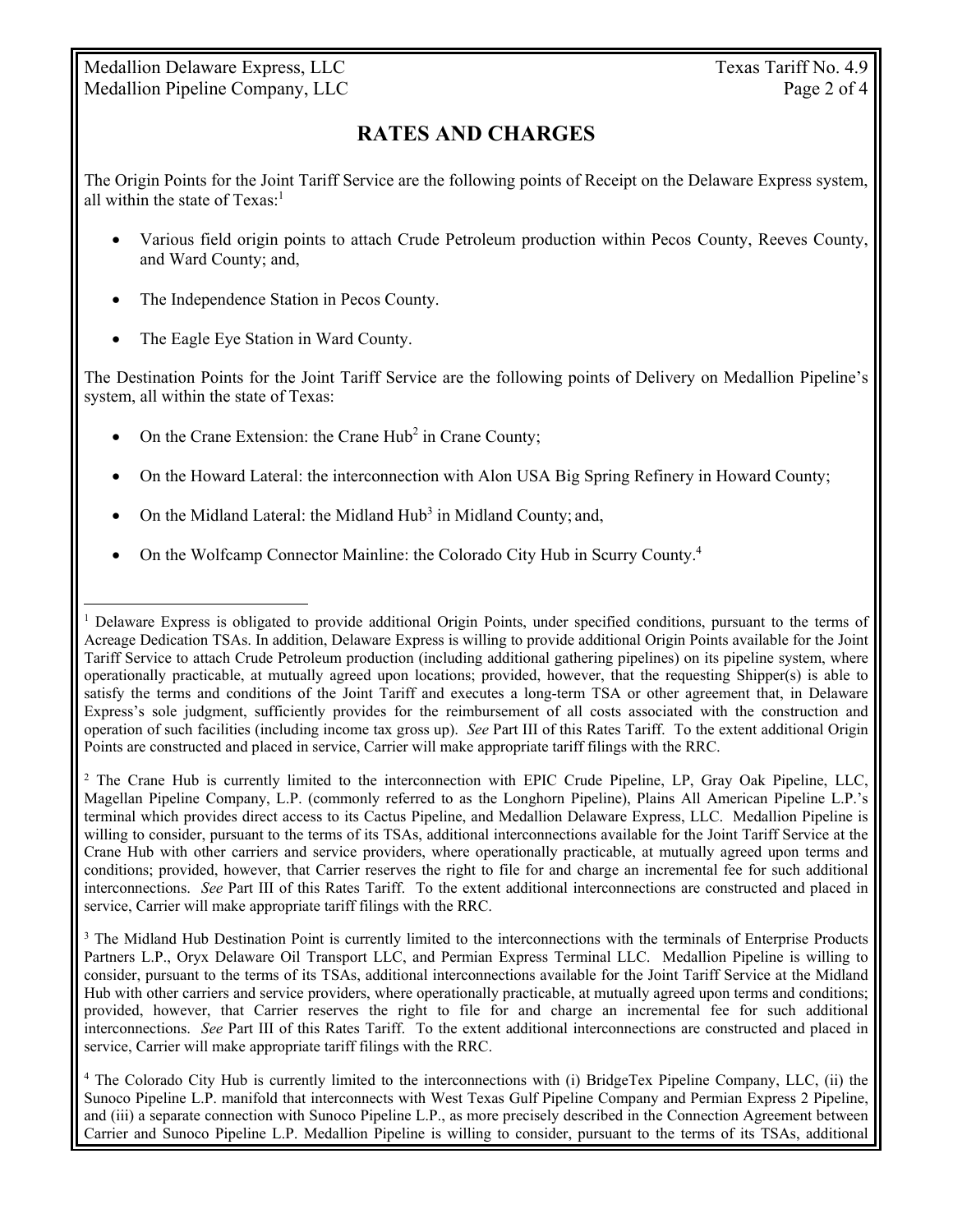Medallion Delaware Express, LLC Texas Tariff No. 4.9 Medallion Pipeline Company, LLC Page 2 of 4

## **RATES AND CHARGES**

The Origin Points for the Joint Tariff Service are the following points of Receipt on the Delaware Express system, all within the state of  $Texas<sup>1</sup>$ 

- Various field origin points to attach Crude Petroleum production within Pecos County, Reeves County, and Ward County; and,
- The Independence Station in Pecos County.
- The Eagle Eye Station in Ward County.

 $\overline{a}$ 

The Destination Points for the Joint Tariff Service are the following points of Delivery on Medallion Pipeline's system, all within the state of Texas:

- On the Crane Extension: the Crane Hub<sup>2</sup> in Crane County;
- On the Howard Lateral: the interconnection with Alon USA Big Spring Refinery in Howard County;
- On the Midland Lateral: the Midland Hub<sup>3</sup> in Midland County; and,
- On the Wolfcamp Connector Mainline: the Colorado City Hub in Scurry County.<sup>4</sup>

<sup>2</sup> The Crane Hub is currently limited to the interconnection with EPIC Crude Pipeline, LP, Gray Oak Pipeline, LLC, Magellan Pipeline Company, L.P. (commonly referred to as the Longhorn Pipeline), Plains All American Pipeline L.P.'s terminal which provides direct access to its Cactus Pipeline, and Medallion Delaware Express, LLC. Medallion Pipeline is willing to consider, pursuant to the terms of its TSAs, additional interconnections available for the Joint Tariff Service at the Crane Hub with other carriers and service providers, where operationally practicable, at mutually agreed upon terms and conditions; provided, however, that Carrier reserves the right to file for and charge an incremental fee for such additional interconnections. *See* Part III of this Rates Tariff. To the extent additional interconnections are constructed and placed in service, Carrier will make appropriate tariff filings with the RRC.

<sup>3</sup> The Midland Hub Destination Point is currently limited to the interconnections with the terminals of Enterprise Products Partners L.P., Oryx Delaware Oil Transport LLC, and Permian Express Terminal LLC. Medallion Pipeline is willing to consider, pursuant to the terms of its TSAs, additional interconnections available for the Joint Tariff Service at the Midland Hub with other carriers and service providers, where operationally practicable, at mutually agreed upon terms and conditions; provided, however, that Carrier reserves the right to file for and charge an incremental fee for such additional interconnections. *See* Part III of this Rates Tariff. To the extent additional interconnections are constructed and placed in service, Carrier will make appropriate tariff filings with the RRC.

4 The Colorado City Hub is currently limited to the interconnections with (i) BridgeTex Pipeline Company, LLC, (ii) the Sunoco Pipeline L.P. manifold that interconnects with West Texas Gulf Pipeline Company and Permian Express 2 Pipeline, and (iii) a separate connection with Sunoco Pipeline L.P., as more precisely described in the Connection Agreement between Carrier and Sunoco Pipeline L.P. Medallion Pipeline is willing to consider, pursuant to the terms of its TSAs, additional

<sup>&</sup>lt;sup>1</sup> Delaware Express is obligated to provide additional Origin Points, under specified conditions, pursuant to the terms of Acreage Dedication TSAs. In addition, Delaware Express is willing to provide additional Origin Points available for the Joint Tariff Service to attach Crude Petroleum production (including additional gathering pipelines) on its pipeline system, where operationally practicable, at mutually agreed upon locations; provided, however, that the requesting Shipper(s) is able to satisfy the terms and conditions of the Joint Tariff and executes a long-term TSA or other agreement that, in Delaware Express's sole judgment, sufficiently provides for the reimbursement of all costs associated with the construction and operation of such facilities (including income tax gross up). *See* Part III of this Rates Tariff. To the extent additional Origin Points are constructed and placed in service, Carrier will make appropriate tariff filings with the RRC.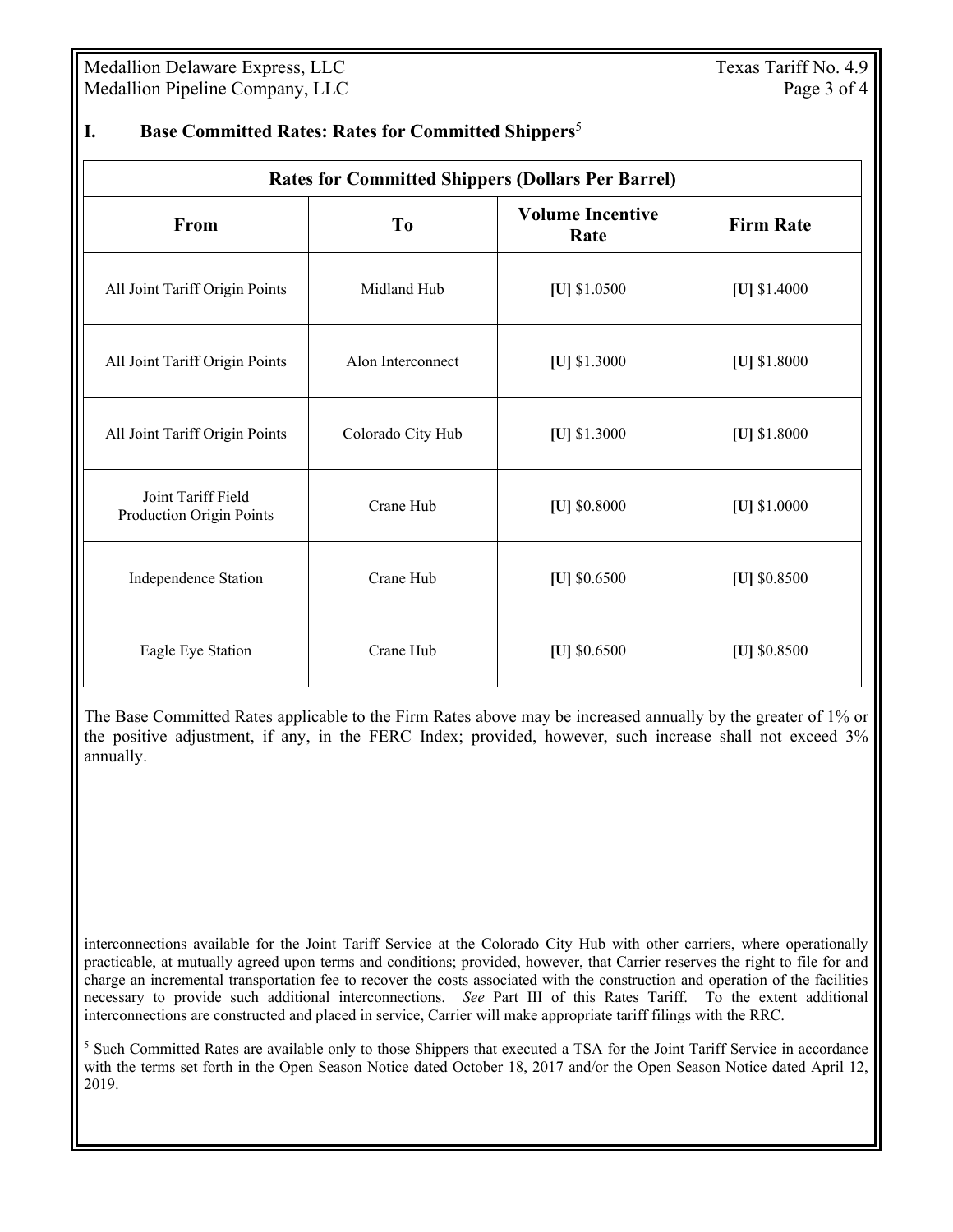Medallion Delaware Express, LLC Texas Tariff No. 4.9 Medallion Pipeline Company, LLC Page 3 of 4

| <b>Rates for Committed Shippers (Dollars Per Barrel)</b> |                   |                                 |                  |
|----------------------------------------------------------|-------------------|---------------------------------|------------------|
| From                                                     | T <sub>0</sub>    | <b>Volume Incentive</b><br>Rate | <b>Firm Rate</b> |
| All Joint Tariff Origin Points                           | Midland Hub       | [U] $$1.0500$                   | [U] $$1.4000$    |
| All Joint Tariff Origin Points                           | Alon Interconnect | [U] $$1.3000$                   | [U] $$1.8000$    |
| All Joint Tariff Origin Points                           | Colorado City Hub | $ U $ \$1.3000                  | $ U $ \$1.8000   |
| Joint Tariff Field<br>Production Origin Points           | Crane Hub         | [U] \$0.8000                    | [U] $$1.0000$    |
| Independence Station                                     | Crane Hub         | [U] $$0.6500$                   | [U] $$0.8500$    |
| Eagle Eye Station                                        | Crane Hub         | [U] $$0.6500$                   | [U] $$0.8500$    |

## **I. Base Committed Rates: Rates for Committed Shippers**<sup>5</sup>

The Base Committed Rates applicable to the Firm Rates above may be increased annually by the greater of 1% or the positive adjustment, if any, in the FERC Index; provided, however, such increase shall not exceed 3% annually.

 interconnections available for the Joint Tariff Service at the Colorado City Hub with other carriers, where operationally practicable, at mutually agreed upon terms and conditions; provided, however, that Carrier reserves the right to file for and charge an incremental transportation fee to recover the costs associated with the construction and operation of the facilities necessary to provide such additional interconnections. *See* Part III of this Rates Tariff. To the extent additional interconnections are constructed and placed in service, Carrier will make appropriate tariff filings with the RRC.

<sup>5</sup> Such Committed Rates are available only to those Shippers that executed a TSA for the Joint Tariff Service in accordance with the terms set forth in the Open Season Notice dated October 18, 2017 and/or the Open Season Notice dated April 12, 2019.